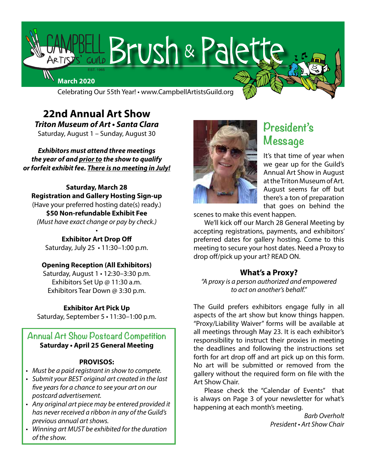

Celebrating Our 55th Year! • www.CampbellArtistsGuild.org

**22nd Annual Art Show Triton Museum of Art • Santa Clara** Saturday, August 1 – Sunday, August 30

**Exhibitors must attend three meetings the year of and** *prior to* **the show to qualify** *or forfeit exhibit fee.* **There is no meeting in July!**

**Saturday, March 28 Registration and Gallery Hosting Sign-up** (Have your preferred hosting date(s) ready.) **\$50 Non-refundable Exhibit Fee** *(Must have exact change or pay by check.)*

> **Exhibitor Art Drop Off** Saturday, July 25 • 11:30–1:00 p.m.

•

#### **Opening Reception (All Exhibitors)**

Saturday, August 1 • 12:30–3:30 p.m. Exhibitors Set Up @ 11:30 a.m. Exhibitors Tear Down @ 3:30 p.m.

#### **Exhibitor Art Pick Up**

Saturday, September 5 • 11:30–1:00 p.m.

# **Annual Art Show Postcard Competition Saturday • April 25 General Meeting**

#### **PROVISOS:**

- *Must be a paid registrant in show to compete.*
- Submit your BEST original art created in the last *five years for a chance to see your art on our postcard advertisement.*
- Any original art piece may be entered provided it *has never received a ribbon in any of the Guild's previous annual art shows.*
- Winning art MUST be exhibited for the duration *of the show.*



# **President's Message**

It's that time of year when we gear up for the Guild's Annual Art Show in August at the Triton Museum of Art. August seems far off but there's a ton of preparation that goes on behind the

scenes to make this event happen.

We'll kick off our March 28 General Meeting by accepting registrations, payments, and exhibitors' preferred dates for gallery hosting. Come to this meeting to secure your host dates. Need a Proxy to drop off/pick up your art? READ ON.

# **What's a Proxy?**

*"A proxy is a person authorized and empowered to act on another's behalf."* 

The Guild prefers exhibitors engage fully in all aspects of the art show but know things happen. "Proxy/Liability Waiver" forms will be available at all meetings through May 23. It is each exhibitor's responsibility to instruct their proxies in meeting the deadlines and following the instructions set forth for art drop off and art pick up on this form. No art will be submitted or removed from the gallery without the required form on file with the Art Show Chair.

Please check the "Calendar of Events" that is always on Page 3 of your newsletter for what's happening at each month's meeting.

> *Barb Overholt* President • Art Show Chair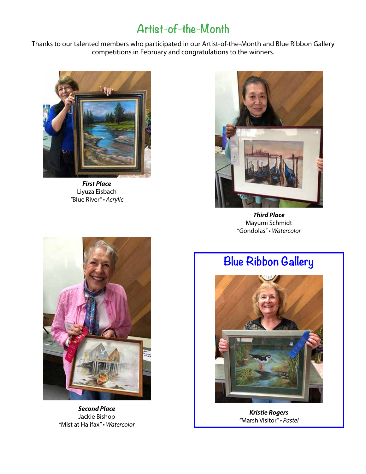# **Artist-of-the-Month**

Thanks to our talented members who participated in our Artist-of-the-Month and Blue Ribbon Gallery competitions in February and congratulations to the winners.



**First Place** Liyuza Eisbach *"*Blue River" • Acrylic



**Third Place** Mayumi Schmidt "Gondolas" • Watercolor



**Second Place** Jackie Bishop *"*Mist at Halifax" • Watercolor

# **Blue Ribbon Gallery**



**Kristie Rogers** *"*Marsh Visitor" • Pastel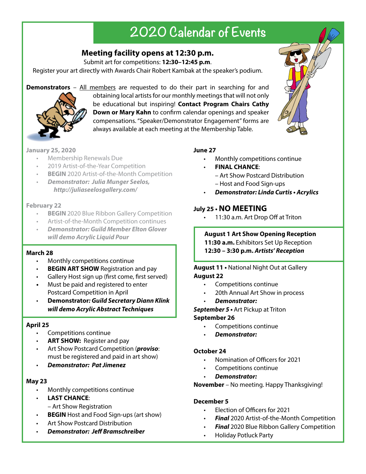# **2020 Calendar of Events**

# **Meeting facility opens at 12:30 p.m.**

Submit art for competitions: **12:30–12:45 p.m**.

Register your art directly with Awards Chair Robert Kambak at the speaker's podium.

**Demonstrators** – All members are requested to do their part in searching for and



obtaining local artists for our monthly meetings that will not only be educational but inspiring! **Contact Program Chairs Cathy Down or Mary Kahn** to confirm calendar openings and speaker compensations. "Speaker/Demonstrator Engagement" forms are always available at each meeting at the Membership Table.

# **January 25, 2020**

- Membership Renewals Due
- 2019 Artist-of-the-Year Competition
- **BEGIN** 2020 Artist-of-the-Month Competition
- **Demonstrator: Julia Munger Seelos, http://juliaseelosgallery.com/**

# **February 22**

- **BEGIN** 2020 Blue Ribbon Gallery Competition
- Artist-of-the-Month Competition continues
- **Demonstrator: Guild Member Elton Glover will demo Acrylic Liquid Pour**

# **March 28**

- Monthly competitions continue
- **BEGIN ART SHOW** Registration and pay
- Gallery Host sign up (first come, first served)
- **•** Must be paid and registered to enter **Postcard Competition in April**
- **Demonstrator: Guild Secretary Diann Klink will demo Acrylic Abstract Techniques**

# **April 25**

- Competitions continue
- **ART SHOW:** Register and pay
- Art Show Postcard Competition (**proviso**: must be registered and paid in art show)
- **Demonstrator: Pat Jimenez**

# **May 23**

- Monthly competitions continue
- **LAST CHANCE**:
	- Art Show Registration
- **BEGIN** Host and Food Sign-ups (art show)
- Art Show Postcard Distribution
- **Demonstrator: Jeff Bramschreiber**

# **June 27**

- Monthly competitions continue
- **FINAL CHANCE**:
	- Art Show Postcard Distribution
	- Host and Food Sign-ups
	- **Demonstrator: Linda Curtis Acrylics**

# **July 25 • NO MEETING**

11:30 a.m. Art Drop Off at Triton

# **August 1 Art Show Opening Reception**

- **11:30 a.m.** Exhibitors Set Up Reception
- **12:30 3:30 p.m. Artists' Reception**

### **August 11 •** National Night Out at Gallery **August 22**

- Competitions continue
- 20th Annual Art Show in process
- **Demonstrator:**

**September 5 •** Art Pickup at Triton

# **September 26**

- Competitions continue
- **Demonstrator:**

# **October 24**

- Nomination of Officers for 2021
- Competitions continue
- **Demonstrator:**

**November** – No meeting. Happy Thanksgiving!

# **December 5**

- Election of Officers for 2021
- **Final** 2020 Artist-of-the-Month Competition
- **Final** 2020 Blue Ribbon Gallery Competition
- Holiday Potluck Party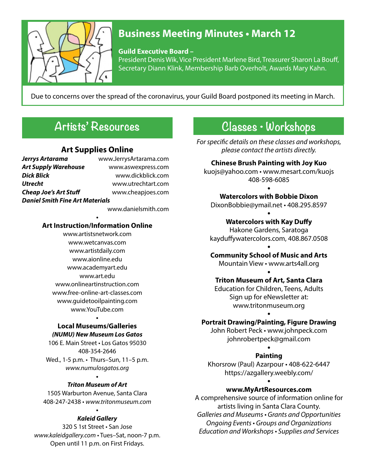

# **Business Meeting Minutes • March 12**

**Guild Executive Board –**

President Denis Wik, Vice President Marlene Bird, Treasurer Sharon La Bouff, Secretary Diann Klink, Membership Barb Overholt, Awards Mary Kahn.

Due to concerns over the spread of the coronavirus, your Guild Board postponed its meeting in March.

# **Artists' Resources**

# **Art Supplies Online**

| Jerrys Artarama                        | www.JerrysArtarama.com |
|----------------------------------------|------------------------|
| <b>Art Supply Warehouse</b>            | www.aswexpress.com     |
| <b>Dick Blick</b>                      | www.dickblick.com      |
| <b>Utrecht</b>                         | www.utrechtart.com     |
| <b>Cheap Joe's Art Stuff</b>           | www.cheapjoes.com      |
| <b>Daniel Smith Fine Art Materials</b> |                        |
|                                        | www.danielsmith.com    |

#### **• Art Instruction/Information Online**

www.artistsnetwork.com www.wetcanvas.com www.artistdaily.com www.aionline.edu www.academyart.edu www.art.edu www.onlineartinstruction.com www.free-online-art-classes.com www.guidetooilpainting.com www.YouTube.com

#### **• Local Museums/Galleries (NUMU) New Museum Los Gatos**

106 E. Main Street • Los Gatos 95030 408-354-2646 Wed., 1-5 p.m. • Thurs–Sun, 11–5 p.m. *www.numulosgatos.org*

#### **•** *Triton Museum of Art*

1505 Warburton Avenue, Santa Clara 408-247-2438 • *www.tritonmuseum.com*

#### **• Kaleid Gallery**

320 S 1st Street • San Jose *www.kaleidgallery.com* • Tues–Sat, noon-7 p.m. Open until 11 p.m. on First Fridays.

# **Classes • Workshops**

*For specific details on these classes and workshops, please contact the artists directly.*

# **Chinese Brush Painting with Joy Kuo**

kuojs@yahoo.com • www.mesart.com/kuojs 408-598-6085 **•**

#### **Watercolors with Bobbie Dixon**

DixonBobbie@ymail.net • 408.295.8597

#### **• Watercolors with Kay Duffy**

Hakone Gardens, Saratoga kayduffywatercolors.com, 408.867.0508 **•**

# **Community School of Music and Arts**

Mountain View • www.arts4all.org **•**

# **Triton Museum of Art, Santa Clara**

Education for Children, Teens, Adults Sign up for eNewsletter at: www.tritonmuseum.org

### **• Portrait Drawing/Painting, Figure Drawing**

John Robert Peck • www.johnpeck.com johnrobertpeck@gmail.com

### **• Painting**

Khorsrow (Paul) Azarpour • 408-622-6447 https://azgallery.weebly.com/ **•**

# **www.MyArtResources.com**

A comprehensive source of information online for artists living in Santa Clara County. Galleries and Museums • Grants and Opportunities Ongoing Events • Groups and Organizations Education and Workshops • Supplies and Services